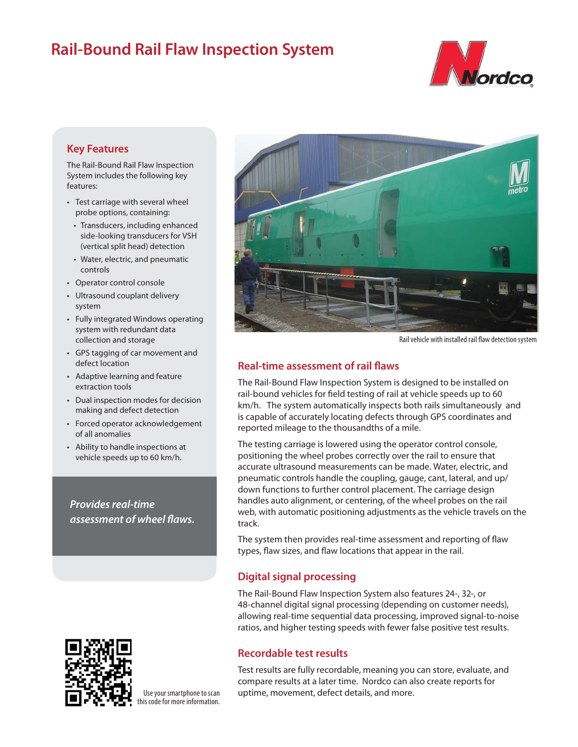# **Rail-Bound Rail Flaw Inspection System**



## **Key Features**

The Rail-Bound Rail Flaw Inspection System includes the following key features:

- Test carriage with several wheel probe options, containing:
- Transducers, including enhanced side-looking transducers for VSH (vertical split head) detection
- Water, electric, and pneumatic controls
- Operator control console
- Ultrasound couplant delivery system
- Fully integrated Windows operating system with redundant data collection and storage
- GPS tagging of car movement and defect location
- Adaptive learning and feature extraction tools
- Dual inspection modes for decision making and defect detection
- Forced operator acknowledgement of all anomalies
- Ability to handle inspections at vehicle speeds up to 60 km/h.

*Provides real-time assessment of wheel flaws.* 



Use your smartphone to scan this code for more information.



Rail vehicle with installed rail flaw detection system

## **Real-time assessment of rail flaws**

The Rail-Bound Flaw Inspection System is designed to be installed on rail-bound vehicles for field testing of rail at vehicle speeds up to 60 km/h. The system automatically inspects both rails simultaneously and is capable of accurately locating defects through GPS coordinates and reported mileage to the thousandths of a mile.

The testing carriage is lowered using the operator control console, positioning the wheel probes correctly over the rail to ensure that accurate ultrasound measurements can be made. Water, electric, and pneumatic controls handle the coupling, gauge, cant, lateral, and up/ down functions to further control placement. The carriage design handles auto alignment, or centering, of the wheel probes on the rail web, with automatic positioning adjustments as the vehicle travels on the track.

The system then provides real-time assessment and reporting of flaw types, flaw sizes, and flaw locations that appear in the rail.

#### **Digital signal processing**

The Rail-Bound Flaw Inspection System also features 24-, 32-, or 48-channel digital signal processing (depending on customer needs), allowing real-time sequential data processing, improved signal-to-noise ratios, and higher testing speeds with fewer false positive test results.

# **Recordable test results**

Test results are fully recordable, meaning you can store, evaluate, and compare results at a later time. Nordco can also create reports for uptime, movement, defect details, and more.